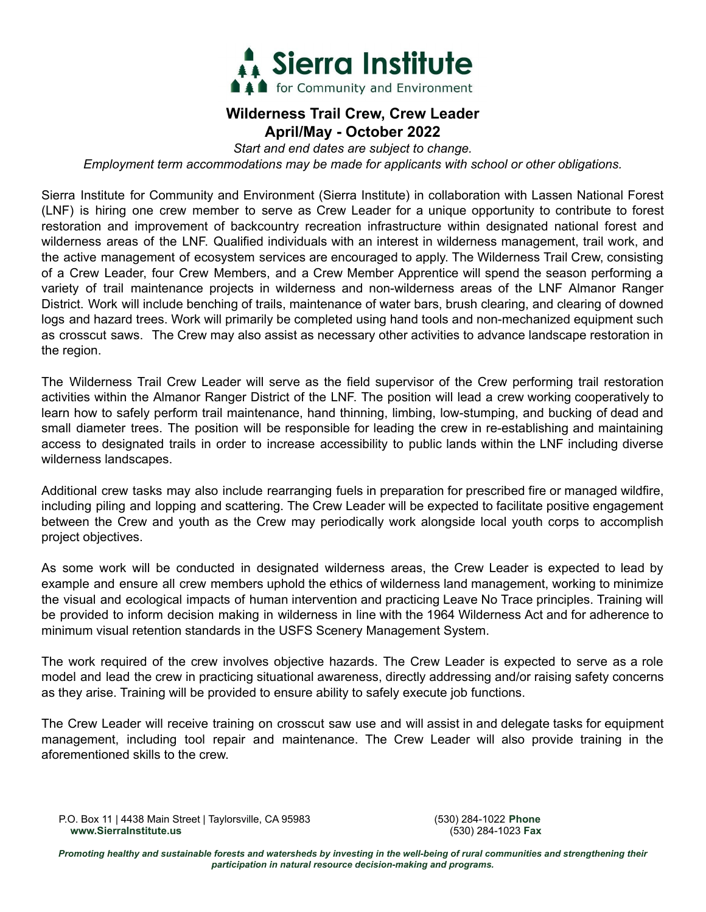

## **Wilderness Trail Crew, Crew Leader April/May - October 2022**

*Start and end dates are subject to change.*

*Employment term accommodations may be made for applicants with school or other obligations.*

Sierra Institute for Community and Environment (Sierra Institute) in collaboration with Lassen National Forest (LNF) is hiring one crew member to serve as Crew Leader for a unique opportunity to contribute to forest restoration and improvement of backcountry recreation infrastructure within designated national forest and wilderness areas of the LNF. Qualified individuals with an interest in wilderness management, trail work, and the active management of ecosystem services are encouraged to apply. The Wilderness Trail Crew, consisting of a Crew Leader, four Crew Members, and a Crew Member Apprentice will spend the season performing a variety of trail maintenance projects in wilderness and non-wilderness areas of the LNF Almanor Ranger District. Work will include benching of trails, maintenance of water bars, brush clearing, and clearing of downed logs and hazard trees. Work will primarily be completed using hand tools and non-mechanized equipment such as crosscut saws. The Crew may also assist as necessary other activities to advance landscape restoration in the region.

The Wilderness Trail Crew Leader will serve as the field supervisor of the Crew performing trail restoration activities within the Almanor Ranger District of the LNF. The position will lead a crew working cooperatively to learn how to safely perform trail maintenance, hand thinning, limbing, low-stumping, and bucking of dead and small diameter trees. The position will be responsible for leading the crew in re-establishing and maintaining access to designated trails in order to increase accessibility to public lands within the LNF including diverse wilderness landscapes.

Additional crew tasks may also include rearranging fuels in preparation for prescribed fire or managed wildfire, including piling and lopping and scattering. The Crew Leader will be expected to facilitate positive engagement between the Crew and youth as the Crew may periodically work alongside local youth corps to accomplish project objectives.

As some work will be conducted in designated wilderness areas, the Crew Leader is expected to lead by example and ensure all crew members uphold the ethics of wilderness land management, working to minimize the visual and ecological impacts of human intervention and practicing Leave No Trace principles. Training will be provided to inform decision making in wilderness in line with the 1964 Wilderness Act and for adherence to minimum visual retention standards in the USFS Scenery Management System.

The work required of the crew involves objective hazards. The Crew Leader is expected to serve as a role model and lead the crew in practicing situational awareness, directly addressing and/or raising safety concerns as they arise. Training will be provided to ensure ability to safely execute job functions.

The Crew Leader will receive training on crosscut saw use and will assist in and delegate tasks for equipment management, including tool repair and maintenance. The Crew Leader will also provide training in the aforementioned skills to the crew.

P.O. Box 11 | 4438 Main Street | Taylorsville, CA 95983 (530) 284-1022 **Phone www.SierraInstitute.us** (530) 284-1023 **Fax**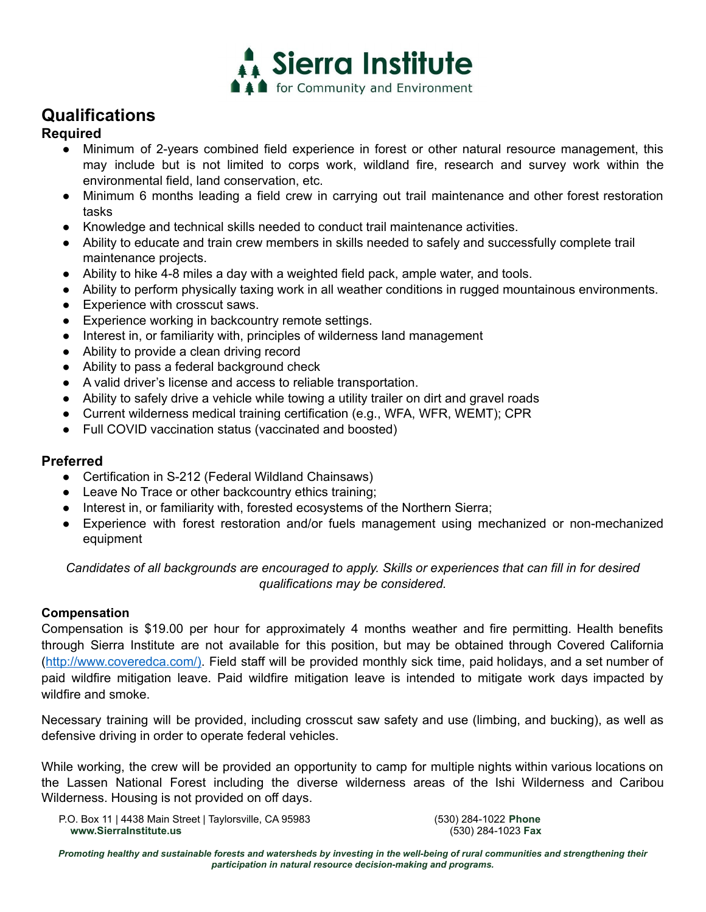

# **Qualifications**

## **Required**

- Minimum of 2-years combined field experience in forest or other natural resource management, this may include but is not limited to corps work, wildland fire, research and survey work within the environmental field, land conservation, etc.
- Minimum 6 months leading a field crew in carrying out trail maintenance and other forest restoration tasks
- Knowledge and technical skills needed to conduct trail maintenance activities.
- Ability to educate and train crew members in skills needed to safely and successfully complete trail maintenance projects.
- Ability to hike 4-8 miles a day with a weighted field pack, ample water, and tools.
- Ability to perform physically taxing work in all weather conditions in rugged mountainous environments.
- Experience with crosscut saws.
- Experience working in backcountry remote settings.
- Interest in, or familiarity with, principles of wilderness land management
- Ability to provide a clean driving record
- Ability to pass a federal background check
- A valid driver's license and access to reliable transportation.
- Ability to safely drive a vehicle while towing a utility trailer on dirt and gravel roads
- Current wilderness medical training certification (e.g., WFA, WFR, WEMT); CPR
- Full COVID vaccination status (vaccinated and boosted)

### **Preferred**

- Certification in S-212 (Federal Wildland Chainsaws)
- Leave No Trace or other backcountry ethics training;
- Interest in, or familiarity with, forested ecosystems of the Northern Sierra;
- Experience with forest restoration and/or fuels management using mechanized or non-mechanized equipment

*Candidates of all backgrounds are encouraged to apply. Skills or experiences that can fill in for desired qualifications may be considered.*

#### **Compensation**

Compensation is \$19.00 per hour for approximately 4 months weather and fire permitting. Health benefits through Sierra Institute are not available for this position, but may be obtained through Covered California (http://www.coveredca.com/). Field staff will be provided monthly sick time, paid holidays, and a set number of paid wildfire mitigation leave. Paid wildfire mitigation leave is intended to mitigate work days impacted by wildfire and smoke.

Necessary training will be provided, including crosscut saw safety and use (limbing, and bucking), as well as defensive driving in order to operate federal vehicles.

While working, the crew will be provided an opportunity to camp for multiple nights within various locations on the Lassen National Forest including the diverse wilderness areas of the Ishi Wilderness and Caribou Wilderness. Housing is not provided on off days.

P.O. Box 11 | 4438 Main Street | Taylorsville, CA 95983 (530) 284-1022 **Phone www.SierraInstitute.us** (530) 284-1023 **Fax**

Promoting healthy and sustainable forests and watersheds by investing in the well-being of rural communities and strengthening their *participation in natural resource decision-making and programs.*